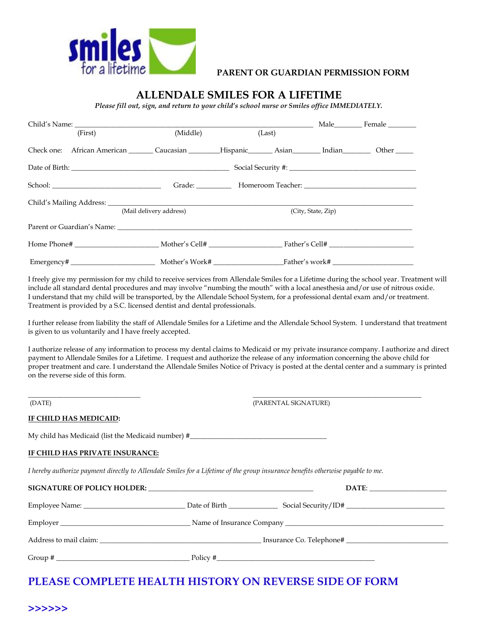

### **PARENT OR GUARDIAN PERMISSION FORM**

### **ALLENDALE SMILES FOR A LIFETIME**

*Please fill out, sign, and return to your child's school nurse or Smiles office IMMEDIATELY.*

|                         | Child's Name:                                                                                                                 |                    |  |  | Male Female |  |
|-------------------------|-------------------------------------------------------------------------------------------------------------------------------|--------------------|--|--|-------------|--|
| (First)                 | (Middle)                                                                                                                      | (Last)             |  |  |             |  |
|                         | Check one: African American Caucasian Hispanic Asian Indian Dther Check one: African American Caucasian Hispanic Asian Indian |                    |  |  |             |  |
|                         |                                                                                                                               |                    |  |  |             |  |
|                         |                                                                                                                               |                    |  |  |             |  |
| (Mail delivery address) |                                                                                                                               | (City, State, Zip) |  |  |             |  |
|                         | Parent or Guardian's Name: Name:                                                                                              |                    |  |  |             |  |
|                         |                                                                                                                               |                    |  |  |             |  |
|                         |                                                                                                                               |                    |  |  |             |  |

I freely give my permission for my child to receive services from Allendale Smiles for a Lifetime during the school year. Treatment will include all standard dental procedures and may involve "numbing the mouth" with a local anesthesia and/or use of nitrous oxide. I understand that my child will be transported, by the Allendale School System, for a professional dental exam and/or treatment. Treatment is provided by a S.C. licensed dentist and dental professionals.

I further release from liability the staff of Allendale Smiles for a Lifetime and the Allendale School System. I understand that treatment is given to us voluntarily and I have freely accepted.

I authorize release of any information to process my dental claims to Medicaid or my private insurance company. I authorize and direct payment to Allendale Smiles for a Lifetime. I request and authorize the release of any information concerning the above child for proper treatment and care. I understand the Allendale Smiles Notice of Privacy is posted at the dental center and a summary is printed on the reverse side of this form.

(DATE)

(PARENTAL SIGNATURE)

\_\_\_\_\_\_\_\_\_\_\_\_\_\_\_\_\_\_\_\_\_\_\_\_\_\_\_\_\_\_\_\_\_\_\_\_\_\_\_\_\_\_\_\_\_\_\_\_

#### **IF CHILD HAS MEDICAID:**

\_\_\_\_\_\_\_\_\_\_\_\_\_\_\_\_\_\_\_\_\_\_\_\_\_\_\_\_\_\_\_\_

My child has Medicaid (list the Medicaid number) #\_\_\_\_\_\_\_\_\_\_\_\_\_\_\_\_\_\_\_\_\_\_\_\_\_\_\_\_\_\_

#### **IF CHILD HAS PRIVATE INSURANCE:**

*I hereby authorize payment directly to Allendale Smiles for a Lifetime of the group insurance benefits otherwise payable to me.* 

|                                                                                                                                   | DATE:                    |
|-----------------------------------------------------------------------------------------------------------------------------------|--------------------------|
|                                                                                                                                   |                          |
|                                                                                                                                   |                          |
|                                                                                                                                   | Insurance Co. Telephone# |
| Group $#_$<br><u> 1990 - Johann Barbara, martxa eta inperiodo eta mondo eta erromana eta erromana eta erromana eta erromana e</u> | Policy #                 |

## **PLEASE COMPLETE HEALTH HISTORY ON REVERSE SIDE OF FORM**

#### **>>>>>>**